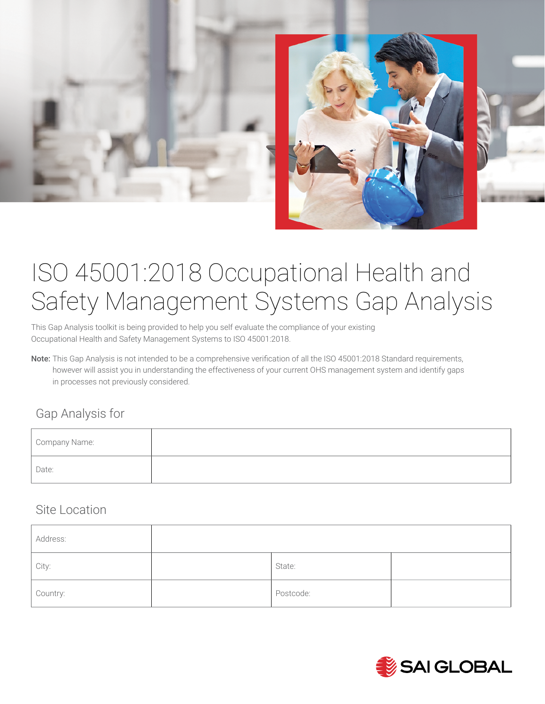

# ISO 45001:2018 Occupational Health and Safety Management Systems Gap Analysis

This Gap Analysis toolkit is being provided to help you self evaluate the compliance of your existing Occupational Health and Safety Management Systems to ISO 45001:2018.

Note: This Gap Analysis is not intended to be a comprehensive verification of all the ISO 45001:2018 Standard requirements, however will assist you in understanding the effectiveness of your current OHS management system and identify gaps in processes not previously considered.

#### Gap Analysis for

| Company Name: |  |  |
|---------------|--|--|
| Date:         |  |  |

#### Site Location

| Address: |           |  |
|----------|-----------|--|
| City:    | State:    |  |
| Country: | Postcode: |  |

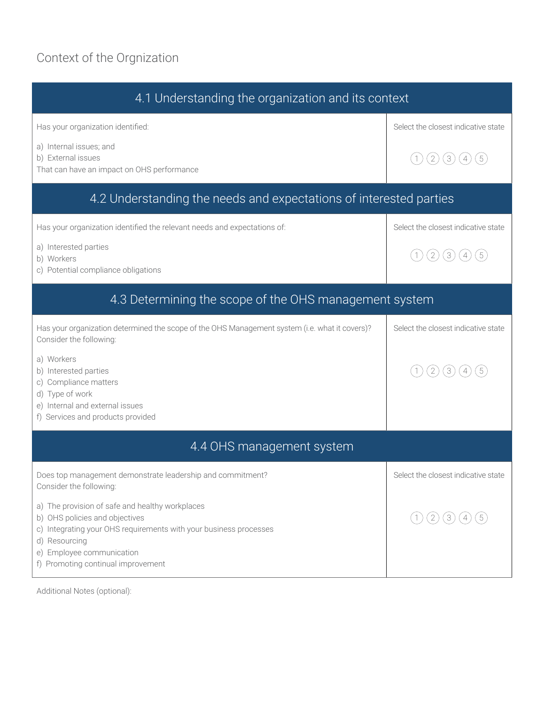# Context of the Orgnization

| 4.1 Understanding the organization and its context                                                                                                                                                                                         |                                       |  |
|--------------------------------------------------------------------------------------------------------------------------------------------------------------------------------------------------------------------------------------------|---------------------------------------|--|
| Has your organization identified:                                                                                                                                                                                                          | Select the closest indicative state   |  |
| a) Internal issues; and<br>b) External issues<br>That can have an impact on OHS performance                                                                                                                                                | (2)<br>(3)<br>(4)<br>(1)              |  |
| 4.2 Understanding the needs and expectations of interested parties                                                                                                                                                                         |                                       |  |
| Has your organization identified the relevant needs and expectations of:                                                                                                                                                                   | Select the closest indicative state   |  |
| a) Interested parties<br>b) Workers<br>c) Potential compliance obligations                                                                                                                                                                 | (2)<br>(3)<br>$\left(1\right)$<br>(4) |  |
| 4.3 Determining the scope of the OHS management system                                                                                                                                                                                     |                                       |  |
| Has your organization determined the scope of the OHS Management system (i.e. what it covers)?<br>Consider the following:                                                                                                                  | Select the closest indicative state   |  |
| a) Workers<br>b) Interested parties<br>c) Compliance matters<br>d) Type of work<br>e) Internal and external issues<br>f) Services and products provided                                                                                    | $\left( 2\right)$<br>(3)              |  |
| 4.4 OHS management system                                                                                                                                                                                                                  |                                       |  |
| Does top management demonstrate leadership and commitment?<br>Consider the following:                                                                                                                                                      | Select the closest indicative state   |  |
| a) The provision of safe and healthy workplaces<br>b) OHS policies and objectives<br>c) Integrating your OHS requirements with your business processes<br>d) Resourcing<br>e) Employee communication<br>f) Promoting continual improvement | $\left(2\right)$<br>(1)               |  |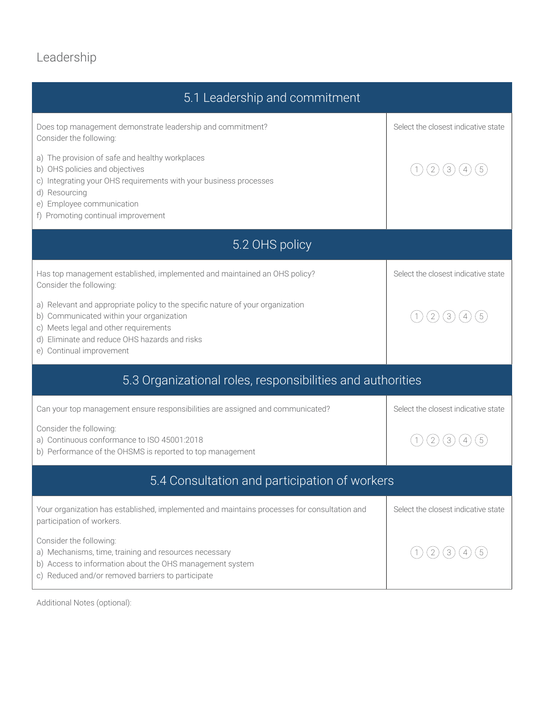## Leadership

| 5.1 Leadership and commitment                                                                                                                                                                                                                    |                                       |  |  |
|--------------------------------------------------------------------------------------------------------------------------------------------------------------------------------------------------------------------------------------------------|---------------------------------------|--|--|
| Does top management demonstrate leadership and commitment?<br>Consider the following:                                                                                                                                                            | Select the closest indicative state   |  |  |
| a) The provision of safe and healthy workplaces<br>b) OHS policies and objectives<br>c) Integrating your OHS requirements with your business processes<br>d) Resourcing<br>e) Employee communication<br>f) Promoting continual improvement       | $\overline{2}$<br>$\lfloor 3 \rfloor$ |  |  |
| 5.2 OHS policy                                                                                                                                                                                                                                   |                                       |  |  |
| Has top management established, implemented and maintained an OHS policy?<br>Consider the following:                                                                                                                                             | Select the closest indicative state   |  |  |
| a) Relevant and appropriate policy to the specific nature of your organization<br>b) Communicated within your organization<br>c) Meets legal and other requirements<br>d) Eliminate and reduce OHS hazards and risks<br>e) Continual improvement | $2^{1}$<br>3                          |  |  |
| 5.3 Organizational roles, responsibilities and authorities                                                                                                                                                                                       |                                       |  |  |
| Can your top management ensure responsibilities are assigned and communicated?                                                                                                                                                                   | Select the closest indicative state   |  |  |
| Consider the following:<br>a) Continuous conformance to ISO 45001:2018<br>b) Performance of the OHSMS is reported to top management                                                                                                              | 2<br>3                                |  |  |
| 5.4 Consultation and participation of workers                                                                                                                                                                                                    |                                       |  |  |
| Your organization has established, implemented and maintains processes for consultation and<br>participation of workers.                                                                                                                         | Select the closest indicative state   |  |  |
| Consider the following:<br>a) Mechanisms, time, training and resources necessary<br>b) Access to information about the OHS management system<br>c) Reduced and/or removed barriers to participate                                                | 3                                     |  |  |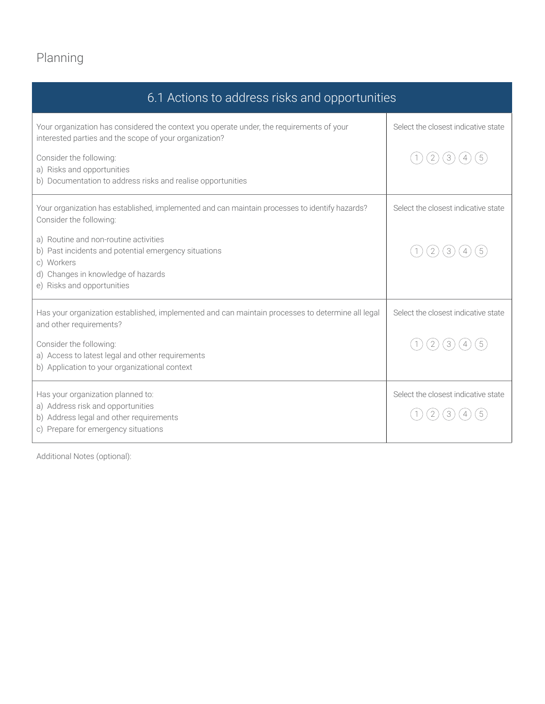# Planning

| 6.1 Actions to address risks and opportunities                                                                                                                                  |                                     |  |
|---------------------------------------------------------------------------------------------------------------------------------------------------------------------------------|-------------------------------------|--|
| Your organization has considered the context you operate under, the requirements of your<br>interested parties and the scope of your organization?                              | Select the closest indicative state |  |
| Consider the following:<br>a) Risks and opportunities                                                                                                                           | $\overline{2}$<br>$\left[3\right]$  |  |
| b) Documentation to address risks and realise opportunities                                                                                                                     |                                     |  |
| Your organization has established, implemented and can maintain processes to identify hazards?<br>Consider the following:                                                       | Select the closest indicative state |  |
| a) Routine and non-routine activities<br>b) Past incidents and potential emergency situations<br>c) Workers<br>d) Changes in knowledge of hazards<br>e) Risks and opportunities | $\mathbf{2}$<br>3                   |  |
| Has your organization established, implemented and can maintain processes to determine all legal<br>and other requirements?                                                     | Select the closest indicative state |  |
| Consider the following:<br>a) Access to latest legal and other requirements<br>b) Application to your organizational context                                                    | (3)<br>$\overline{2}$               |  |
| Has your organization planned to:                                                                                                                                               | Select the closest indicative state |  |
| a) Address risk and opportunities<br>b) Address legal and other requirements<br>c) Prepare for emergency situations                                                             |                                     |  |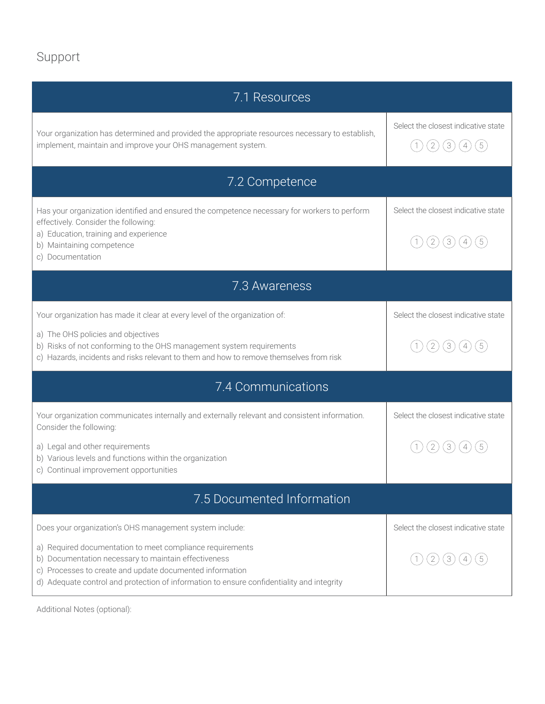### Support

| 7.1 Resources                                                                                                                                                                                                                                                              |                                                                                                                                                                                                                         |  |  |
|----------------------------------------------------------------------------------------------------------------------------------------------------------------------------------------------------------------------------------------------------------------------------|-------------------------------------------------------------------------------------------------------------------------------------------------------------------------------------------------------------------------|--|--|
| Your organization has determined and provided the appropriate resources necessary to establish,<br>implement, maintain and improve your OHS management system.                                                                                                             | Select the closest indicative state<br>$\left( 2\right)$<br>(3)<br>$\left[ 5 \right]$<br>$\overline{\mathcal{A}}% \left( \mathcal{A},\mathcal{A}\right) =\overline{\mathcal{A}}% \left( \mathcal{A},\mathcal{A}\right)$ |  |  |
| 7.2 Competence                                                                                                                                                                                                                                                             |                                                                                                                                                                                                                         |  |  |
| Has your organization identified and ensured the competence necessary for workers to perform<br>effectively. Consider the following:<br>a) Education, training and experience<br>b) Maintaining competence<br>c) Documentation                                             | Select the closest indicative state<br>$\sqrt{2}$<br>3                                                                                                                                                                  |  |  |
| 7.3 Awareness                                                                                                                                                                                                                                                              |                                                                                                                                                                                                                         |  |  |
| Your organization has made it clear at every level of the organization of:                                                                                                                                                                                                 | Select the closest indicative state                                                                                                                                                                                     |  |  |
| a) The OHS policies and objectives<br>b) Risks of not conforming to the OHS management system requirements<br>c) Hazards, incidents and risks relevant to them and how to remove themselves from risk                                                                      | $\overline{2}$<br>3                                                                                                                                                                                                     |  |  |
| 7.4 Communications                                                                                                                                                                                                                                                         |                                                                                                                                                                                                                         |  |  |
| Your organization communicates internally and externally relevant and consistent information.<br>Consider the following:                                                                                                                                                   | Select the closest indicative state                                                                                                                                                                                     |  |  |
| a) Legal and other requirements<br>b) Various levels and functions within the organization<br>c) Continual improvement opportunities                                                                                                                                       | 2<br>3                                                                                                                                                                                                                  |  |  |
| 7.5 Documented Information                                                                                                                                                                                                                                                 |                                                                                                                                                                                                                         |  |  |
| Does your organization's OHS management system include:                                                                                                                                                                                                                    | Select the closest indicative state                                                                                                                                                                                     |  |  |
| a) Required documentation to meet compliance requirements<br>b) Documentation necessary to maintain effectiveness<br>c) Processes to create and update documented information<br>d) Adequate control and protection of information to ensure confidentiality and integrity |                                                                                                                                                                                                                         |  |  |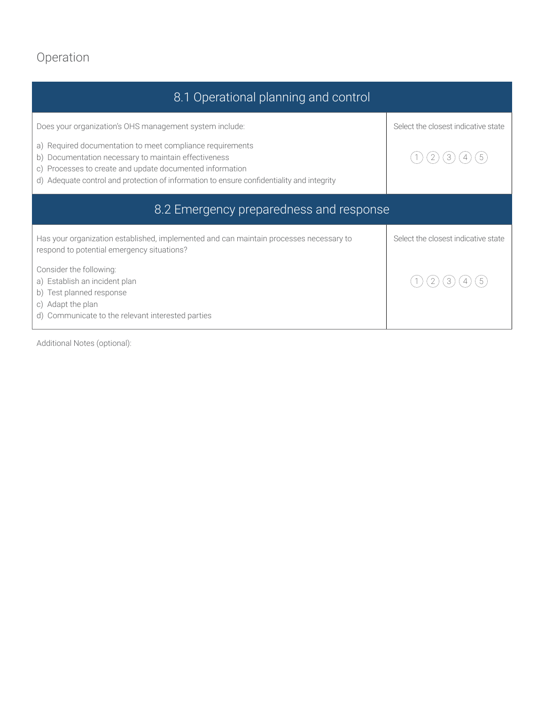## Operation

| 8.1 Operational planning and control                                                                                                                                                                                                                                                       |                                     |  |
|--------------------------------------------------------------------------------------------------------------------------------------------------------------------------------------------------------------------------------------------------------------------------------------------|-------------------------------------|--|
| Does your organization's OHS management system include:                                                                                                                                                                                                                                    | Select the closest indicative state |  |
| Required documentation to meet compliance requirements<br>a)<br>Documentation necessary to maintain effectiveness<br>b)<br>Processes to create and update documented information<br>$\circ$ )<br>d) Adequate control and protection of information to ensure confidentiality and integrity | 3                                   |  |
| 8.2 Emergency preparedness and response                                                                                                                                                                                                                                                    |                                     |  |
| Has your organization established, implemented and can maintain processes necessary to<br>respond to potential emergency situations?                                                                                                                                                       | Select the closest indicative state |  |
| Consider the following:<br>a) Establish an incident plan<br>Test planned response<br>b)<br>c) Adapt the plan<br>d) Communicate to the relevant interested parties                                                                                                                          |                                     |  |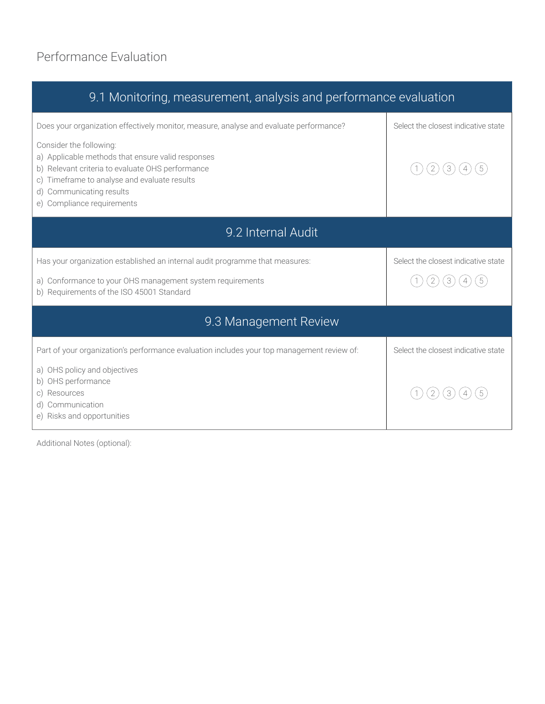### Performance Evaluation

| 9.1 Monitoring, measurement, analysis and performance evaluation                                                                                                                                                                        |                                      |  |  |
|-----------------------------------------------------------------------------------------------------------------------------------------------------------------------------------------------------------------------------------------|--------------------------------------|--|--|
| Does your organization effectively monitor, measure, analyse and evaluate performance?                                                                                                                                                  | Select the closest indicative state  |  |  |
| Consider the following:<br>a) Applicable methods that ensure valid responses<br>b) Relevant criteria to evaluate OHS performance<br>c) Timeframe to analyse and evaluate results<br>Communicating results<br>e) Compliance requirements | $\overline{2}$<br>3                  |  |  |
| 9.2 Internal Audit                                                                                                                                                                                                                      |                                      |  |  |
| Has your organization established an internal audit programme that measures:                                                                                                                                                            | Select the closest indicative state  |  |  |
| a) Conformance to your OHS management system requirements<br>b) Requirements of the ISO 45001 Standard                                                                                                                                  | $\boxed{2}$<br>(3)<br>$\overline{4}$ |  |  |
| 9.3 Management Review                                                                                                                                                                                                                   |                                      |  |  |
| Part of your organization's performance evaluation includes your top management review of:                                                                                                                                              | Select the closest indicative state  |  |  |
| a) OHS policy and objectives<br>b) OHS performance<br>c) Resources<br>Communication<br>e) Risks and opportunities                                                                                                                       | 2<br>3                               |  |  |